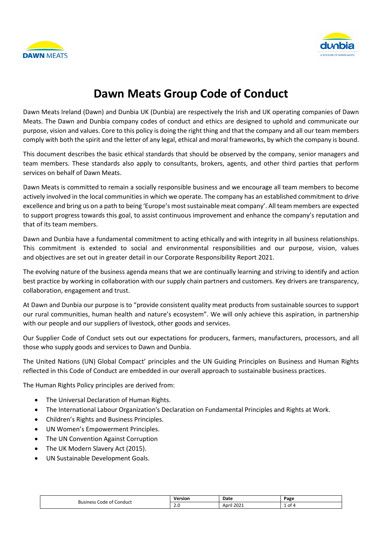



# **Dawn Meats Group Code of Conduct**

Dawn Meats Ireland (Dawn) and Dunbia UK (Dunbia) are respectively the Irish and UK operating companies of Dawn Meats. The Dawn and Dunbia company codes of conduct and ethics are designed to uphold and communicate our purpose, vision and values. Core to this policy is doing the right thing and that the company and all our team members comply with both the spirit and the letter of any legal, ethical and moral frameworks, by which the company is bound.

This document describes the basic ethical standards that should be observed by the company, senior managers and team members. These standards also apply to consultants, brokers, agents, and other third parties that perform services on behalf of Dawn Meats.

Dawn Meats is committed to remain a socially responsible business and we encourage all team members to become actively involved in the local communities in which we operate. The company has an established commitment to drive excellence and bring us on a path to being 'Europe's most sustainable meat company'. All team members are expected to support progress towards this goal, to assist continuous improvement and enhance the company's reputation and that of its team members.

Dawn and Dunbia have a fundamental commitment to acting ethically and with integrity in all business relationships. This commitment is extended to social and environmental responsibilities and our purpose, vision, values and objectives are set out in greater detail in our [Corporate Responsibility Report 2021.](https://2i2cqz41qq7hduf8z2mmxm8c-wpengine.netdna-ssl.com/wp-content/uploads/2021/09/Group-Sustainability-Report-150921.pdf) 

The evolving nature of the business agenda means that we are continually learning and striving to identify and action best practice by working in collaboration with our supply chain partners and customers. Key drivers are transparency, collaboration, engagement and trust.

At Dawn and Dunbia our purpose is to "provide consistent quality meat products from sustainable sources to support our rural communities, human health and nature's ecosystem". We will only achieve this aspiration, in partnership with our people and our suppliers of livestock, other goods and services.

Our Supplier Code of Conduct sets out our expectations for producers, farmers, manufacturers, processors, and all those who supply goods and services to Dawn and Dunbia.

The United Nations (UN) Global Compact' principles and the UN Guiding Principles on Business and Human Rights reflected in this Code of Conduct are embedded in our overall approach to sustainable business practices.

The Human Rights Policy principles are derived from:

- The Universal Declaration of Human Rights.
- The International Labour Organization's Declaration on Fundamental Principles and Rights at Work.
- Children's Rights and Business Principles.
- UN Women's Empowerment Principles.
- The UN Convention Against Corruption
- The UK Modern Slavery Act (2015).
- UN Sustainable Development Goals.

| Conduct<br><b>Business</b><br>code of 1 | Version | Date                | Page      |
|-----------------------------------------|---------|---------------------|-----------|
|                                         | z.u     | 1200<br>April<br>∠u | וס "<br>- |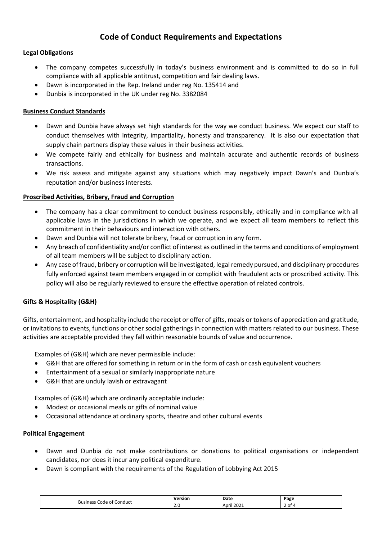# **Code of Conduct Requirements and Expectations**

# **Legal Obligations**

- The company competes successfully in today's business environment and is committed to do so in full compliance with all applicable antitrust, competition and fair dealing laws.
- Dawn is incorporated in the Rep. Ireland under reg No. 135414 and
- Dunbia is incorporated in the UK under reg No. 3382084

## **Business Conduct Standards**

- Dawn and Dunbia have always set high standards for the way we conduct business. We expect our staff to conduct themselves with integrity, impartiality, honesty and transparency. It is also our expectation that supply chain partners display these values in their business activities.
- We compete fairly and ethically for business and maintain accurate and authentic records of business transactions.
- We risk assess and mitigate against any situations which may negatively impact Dawn's and Dunbia's reputation and/or business interests.

#### **Proscribed Activities, Bribery, Fraud and Corruption**

- The company has a clear commitment to conduct business responsibly, ethically and in compliance with all applicable laws in the jurisdictions in which we operate, and we expect all team members to reflect this commitment in their behaviours and interaction with others.
- Dawn and Dunbia will not tolerate bribery, fraud or corruption in any form.
- Any breach of confidentiality and/or conflict of interest as outlined in the terms and conditions of employment of all team members will be subject to disciplinary action.
- Any case of fraud, bribery or corruption will be investigated, legal remedy pursued, and disciplinary procedures fully enforced against team members engaged in or complicit with fraudulent acts or proscribed activity. This policy will also be regularly reviewed to ensure the effective operation of related controls.

#### **Gifts & Hospitality (G&H)**

Gifts, entertainment, and hospitality include the receipt or offer of gifts, meals or tokens of appreciation and gratitude, or invitations to events, functions or other social gatherings in connection with matters related to our business. These activities are acceptable provided they fall within reasonable bounds of value and occurrence.

Examples of (G&H) which are never permissible include:

- G&H that are offered for something in return or in the form of cash or cash equivalent vouchers
- Entertainment of a sexual or similarly inappropriate nature
- G&H that are unduly lavish or extravagant

Examples of (G&H) which are ordinarily acceptable include:

- Modest or occasional meals or gifts of nominal value
- Occasional attendance at ordinary sports, theatre and other cultural events

#### **Political Engagement**

- Dawn and Dunbia do not make contributions or donations to political organisations or independent candidates, nor does it incur any political expenditure.
- Dawn is compliant with the requirements of the Regulation of Lobbying Act 2015

| Code of Conduct<br>Businer:<br>בכסו | Version<br>___ | Date                | Page |
|-------------------------------------|----------------|---------------------|------|
|                                     | Z.U<br>__      | 202<br>Anri<br>LUZ. | .ot  |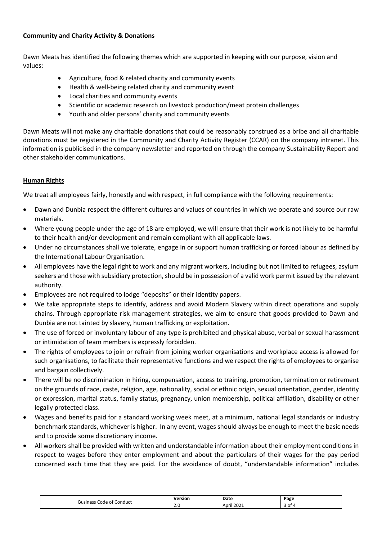# **Community and Charity Activity & Donations**

Dawn Meats has identified the following themes which are supported in keeping with our purpose, vision and values:

- Agriculture, food & related charity and community events
- Health & well-being related charity and community event
- Local charities and community events
- Scientific or academic research on livestock production/meat protein challenges
- Youth and older persons' charity and community events

Dawn Meats will not make any charitable donations that could be reasonably construed as a bribe and all charitable donations must be registered in the Community and Charity Activity Register (CCAR) on the company intranet. This information is publicised in the company newsletter and reported on through the company [Sustainability Report a](https://2i2cqz41qq7hduf8z2mmxm8c-wpengine.netdna-ssl.com/wp-content/uploads/2021/09/Group-Sustainability-Report-150921.pdf)nd other stakeholder communications.

# **Human Rights**

We treat all employees fairly, honestly and with respect, in full compliance with the following requirements:

- Dawn and Dunbia respect the different cultures and values of countries in which we operate and source our raw materials.
- Where young people under the age of 18 are employed, we will ensure that their work is not likely to be harmful to their health and/or development and remain compliant with all applicable laws.
- Under no circumstances shall we tolerate, engage in or support human trafficking or forced labour as defined by the International Labour Organisation.
- All employees have the legal right to work and any migrant workers, including but not limited to refugees, asylum seekers and those with subsidiary protection, should be in possession of a valid work permit issued by the relevant authority.
- Employees are not required to lodge "deposits" or their identity papers.
- We take appropriate steps to identify, address and avoid Modern Slavery within direct operations and supply chains. Through appropriate risk management strategies, we aim to ensure that goods provided to Dawn and Dunbia are not tainted by slavery, human trafficking or exploitation.
- The use of forced or involuntary labour of any type is prohibited and physical abuse, verbal or sexual harassment or intimidation of team members is expressly forbidden.
- The rights of employees to join or refrain from joining worker organisations and workplace access is allowed for such organisations, to facilitate their representative functions and we respect the rights of employees to organise and bargain collectively.
- There will be no discrimination in hiring, compensation, access to training, promotion, termination or retirement on the grounds of race, caste, religion, age, nationality, social or ethnic origin, sexual orientation, gender, identity or expression, marital status, family status, pregnancy, union membership, political affiliation, disability or other legally protected class.
- Wages and benefits paid for a standard working week meet, at a minimum, national legal standards or industry benchmark standards, whichever is higher. In any event, wages should always be enough to meet the basic needs and to provide some discretionary income.
- All workers shall be provided with written and understandable information about their employment conditions in respect to wages before they enter employment and about the particulars of their wages for the pay period concerned each time that they are paid. For the avoidance of doubt, "understandable information" includes

| Code<br>Conduct<br>ot (<br><b>Business</b> | .<br>ъю. | Date                           | Page |
|--------------------------------------------|----------|--------------------------------|------|
|                                            | ∽<br>ے.  | 222<br>$\cdot$ .<br>Anril<br>w | OT   |